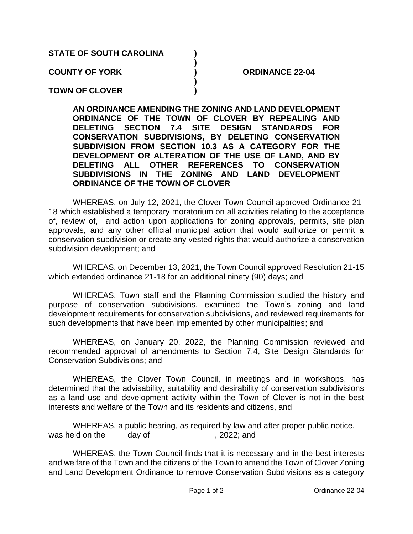## **STATE OF SOUTH CAROLINA ) ) COUNTY OF YORK ) ORDINANCE 22-04 ) TOWN OF CLOVER )**

**AN ORDINANCE AMENDING THE ZONING AND LAND DEVELOPMENT ORDINANCE OF THE TOWN OF CLOVER BY REPEALING AND DELETING SECTION 7.4 SITE DESIGN STANDARDS FOR CONSERVATION SUBDIVISIONS, BY DELETING CONSERVATION SUBDIVISION FROM SECTION 10.3 AS A CATEGORY FOR THE DEVELOPMENT OR ALTERATION OF THE USE OF LAND, AND BY DELETING ALL OTHER REFERENCES TO CONSERVATION SUBDIVISIONS IN THE ZONING AND LAND DEVELOPMENT ORDINANCE OF THE TOWN OF CLOVER** 

WHEREAS, on July 12, 2021, the Clover Town Council approved Ordinance 21- 18 which established a temporary moratorium on all activities relating to the acceptance of, review of, and action upon applications for zoning approvals, permits, site plan approvals, and any other official municipal action that would authorize or permit a conservation subdivision or create any vested rights that would authorize a conservation subdivision development; and

WHEREAS, on December 13, 2021, the Town Council approved Resolution 21-15 which extended ordinance 21-18 for an additional ninety (90) days; and

WHEREAS, Town staff and the Planning Commission studied the history and purpose of conservation subdivisions, examined the Town's zoning and land development requirements for conservation subdivisions, and reviewed requirements for such developments that have been implemented by other municipalities; and

WHEREAS, on January 20, 2022, the Planning Commission reviewed and recommended approval of amendments to Section 7.4, Site Design Standards for Conservation Subdivisions; and

WHEREAS, the Clover Town Council, in meetings and in workshops, has determined that the advisability, suitability and desirability of conservation subdivisions as a land use and development activity within the Town of Clover is not in the best interests and welfare of the Town and its residents and citizens, and

WHEREAS, a public hearing, as required by law and after proper public notice, was held on the \_\_\_\_\_ day of \_\_\_\_\_\_\_\_\_\_\_\_\_\_, 2022; and

WHEREAS, the Town Council finds that it is necessary and in the best interests and welfare of the Town and the citizens of the Town to amend the Town of Clover Zoning and Land Development Ordinance to remove Conservation Subdivisions as a category